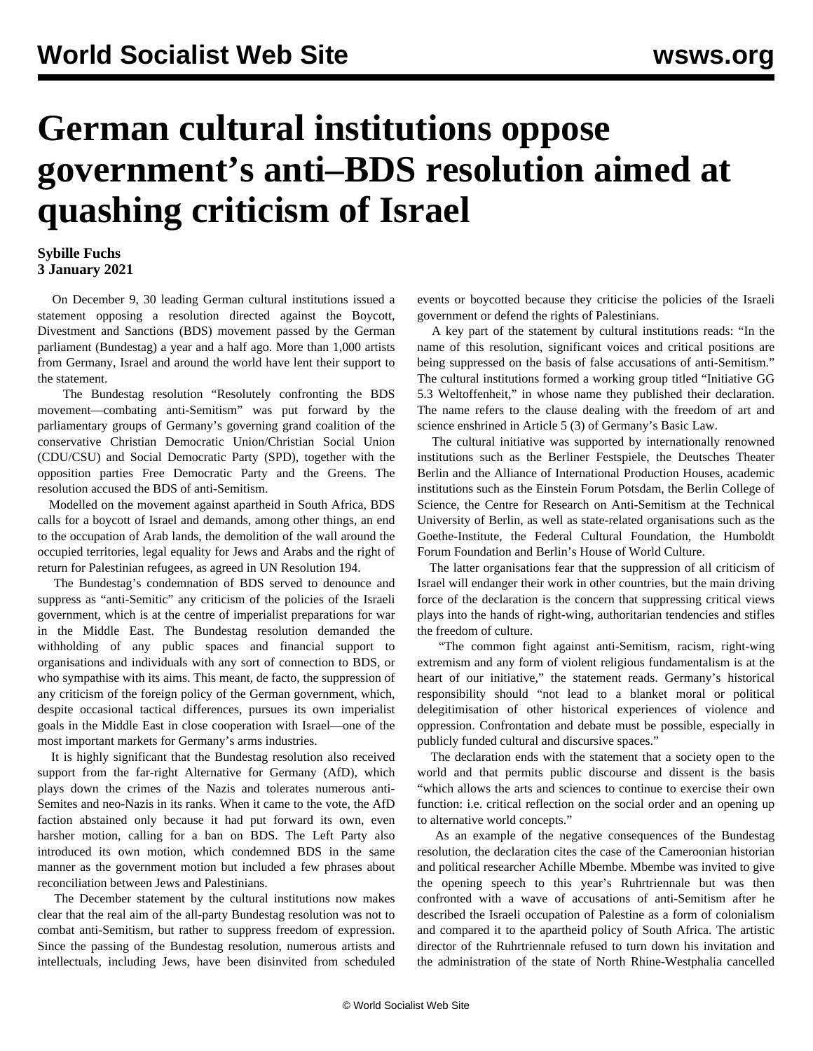## **German cultural institutions oppose government's anti–BDS resolution aimed at quashing criticism of Israel**

## **Sybille Fuchs 3 January 2021**

 On December 9, 30 leading German cultural institutions issued a statement opposing a resolution directed against the Boycott, Divestment and Sanctions (BDS) movement passed by the German parliament (Bundestag) a year and a half ago. More than 1,000 artists from Germany, Israel and around the world have lent their support to the statement.

 The Bundestag resolution "Resolutely confronting the BDS movement—combating anti-Semitism" was put forward by the parliamentary groups of Germany's governing grand coalition of the conservative Christian Democratic Union/Christian Social Union (CDU/CSU) and Social Democratic Party (SPD), together with the opposition parties Free Democratic Party and the Greens. The resolution accused the BDS of anti-Semitism.

 Modelled on the movement against apartheid in South Africa, BDS calls for a boycott of Israel and demands, among other things, an end to the occupation of Arab lands, the demolition of the wall around the occupied territories, legal equality for Jews and Arabs and the right of return for Palestinian refugees, as agreed in UN Resolution 194.

 The Bundestag's condemnation of BDS served to denounce and suppress as "anti-Semitic" any criticism of the policies of the Israeli government, which is at the centre of imperialist preparations for war in the Middle East. The Bundestag resolution demanded the withholding of any public spaces and financial support to organisations and individuals with any sort of connection to BDS, or who sympathise with its aims. This meant, de facto, the suppression of any criticism of the foreign policy of the German government, which, despite occasional tactical differences, pursues its own imperialist goals in the Middle East in close cooperation with Israel—one of the most important markets for Germany's arms industries.

 It is highly significant that the Bundestag resolution also received support from the far-right Alternative for Germany (AfD), which plays down the crimes of the Nazis and tolerates numerous anti-Semites and neo-Nazis in its ranks. When it came to the vote, the AfD faction abstained only because it had put forward its own, even harsher motion, calling for a ban on BDS. The Left Party also introduced its own motion, which condemned BDS in the same manner as the government motion but included a few phrases about reconciliation between Jews and Palestinians.

 The December statement by the cultural institutions now makes clear that the real aim of the all-party Bundestag resolution was not to combat anti-Semitism, but rather to suppress freedom of expression. Since the passing of the Bundestag resolution, numerous artists and intellectuals, including Jews, have been disinvited from scheduled

events or boycotted because they criticise the policies of the Israeli government or defend the rights of Palestinians.

 A key part of the statement by cultural institutions reads: "In the name of this resolution, significant voices and critical positions are being suppressed on the basis of false accusations of anti-Semitism." The cultural institutions formed a working group titled "Initiative GG 5.3 Weltoffenheit," in whose name they published their declaration. The name refers to the clause dealing with the freedom of art and science enshrined in Article 5 (3) of Germany's Basic Law.

 The cultural initiative was supported by internationally renowned institutions such as the Berliner Festspiele, the Deutsches Theater Berlin and the Alliance of International Production Houses, academic institutions such as the Einstein Forum Potsdam, the Berlin College of Science, the Centre for Research on Anti-Semitism at the Technical University of Berlin, as well as state-related organisations such as the Goethe-Institute, the Federal Cultural Foundation, the Humboldt Forum Foundation and Berlin's House of World Culture.

 The latter organisations fear that the suppression of all criticism of Israel will endanger their work in other countries, but the main driving force of the declaration is the concern that suppressing critical views plays into the hands of right-wing, authoritarian tendencies and stifles the freedom of culture.

 "The common fight against anti-Semitism, racism, right-wing extremism and any form of violent religious fundamentalism is at the heart of our initiative," the statement reads. Germany's historical responsibility should "not lead to a blanket moral or political delegitimisation of other historical experiences of violence and oppression. Confrontation and debate must be possible, especially in publicly funded cultural and discursive spaces."

 The declaration ends with the statement that a society open to the world and that permits public discourse and dissent is the basis "which allows the arts and sciences to continue to exercise their own function: i.e. critical reflection on the social order and an opening up to alternative world concepts."

 As an example of the negative consequences of the Bundestag resolution, the declaration cites the case of the Cameroonian historian and political researcher Achille Mbembe. Mbembe was invited to give the opening speech to this year's Ruhrtriennale but was then confronted with a wave of accusations of anti-Semitism after he described the Israeli occupation of Palestine as a form of colonialism and compared it to the apartheid policy of South Africa. The artistic director of the Ruhrtriennale refused to turn down his invitation and the administration of the state of North Rhine-Westphalia cancelled